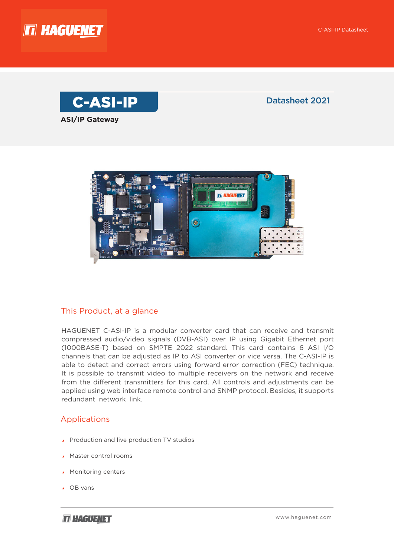





#### This Product, at a glance

HAGUENET C-ASI-IP is a modular converter card that can receive and transmit compressed audio/video signals (DVB-ASI) over IP using Gigabit Ethernet port (1000BASE-T) based on SMPTE 2022 standard. This card contains 6 ASI I/O channels that can be adjusted as IP to ASI converter or vice versa. The C-ASI-IP is able to detect and correct errors using forward error correction (FEC) technique. It is possible to transmit video to multiple receivers on the network and receive from the different transmitters for this card. All controls and adjustments can be applied using web interface remote control and SNMP protocol. Besides, it supports redundant network link.

#### Applications

- $\blacktriangle$  Production and live production TV studios
- **A** Master control rooms
- Monitoring centers
- ▲ OB vans

**IT HAGUENET**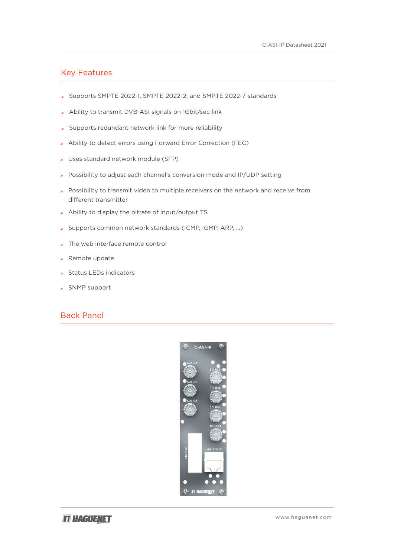#### **Key Features**

- Supports SMPTE 2022-1, SMPTE 2022-2, and SMPTE 2022-7 standards
- Ability to transmit DVB-ASI signals on 1Gbit/sec link
- Supports redundant network link for more reliability
- Ability to detect errors using Forward Error Correction (FEC)
- Uses standard network module (SFP)
- Possibility to adjust each channel's conversion mode and IP/UDP setting
- Fossibility to transmit video to multiple receivers on the network and receive from different transmitter
- Ability to display the bitrate of input/output TS
- Supports common network standards (ICMP, IGMP, ARP, ...)
- The web interface remote control
- $\triangle$  Remote update
- ▲ Status LEDs indicators
- ▲ SNMP support

#### Panel Back

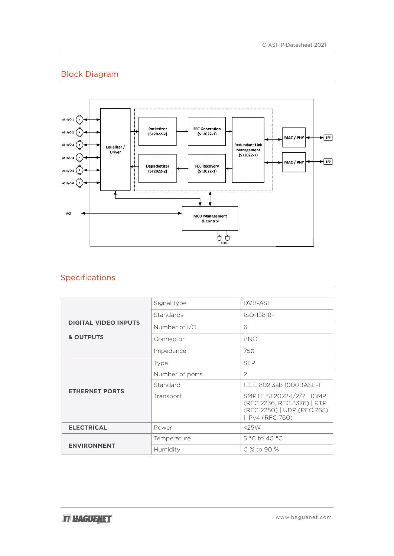# **Block Diagram**



## Specifications

|                                                     | Signal type     | <b>DVB-ASI</b>                                                                                            |
|-----------------------------------------------------|-----------------|-----------------------------------------------------------------------------------------------------------|
| <b>DIGITAL VIDEO INPUTS</b><br><b>&amp; OUTPUTS</b> | Standards       | ISO-13818-1                                                                                               |
|                                                     | Number of I/O   | 6                                                                                                         |
|                                                     | Connector       | <b>BNC</b>                                                                                                |
|                                                     | Impedance       | 750                                                                                                       |
| <b>ETHERNET PORTS</b>                               | Type            | <b>SFP</b>                                                                                                |
|                                                     | Number of ports | 2                                                                                                         |
|                                                     | Standard        | IEEE 802.3ab 1000BASE-T                                                                                   |
|                                                     | Transport       | SMPTE ST2022-1/2/7   IGMP<br>(RFC 2236, RFC 3376)   RTP<br>(RFC 2250)   UDP (RFC 768)<br>  IPv4 (RFC 760) |
| <b>ELECTRICAL</b>                                   | Power           | $<$ 25 $W$                                                                                                |
| <b>ENVIRONMENT</b>                                  | Temperature     | 5 °C to 40 °C                                                                                             |
|                                                     | Humidity        | 0 % to 90 %                                                                                               |